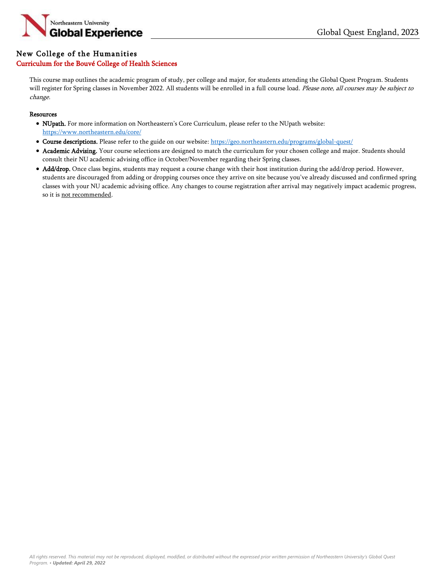

## New College of the Humanities

### Curriculum for the Bouvé College of Health Sciences

This course map outlines the academic program of study, per college and major, for students attending the Global Quest Program. Students will register for Spring classes in November 2022. All students will be enrolled in a full course load. Please note, all courses may be subject to change.

#### **Resources**

- NUpath. For more information on Northeastern's Core Curriculum, please refer to the NUpath website: <https://www.northeastern.edu/core/>
- Course descriptions. Please refer to the guide on our website: <https://geo.northeastern.edu/programs/global-quest/>
- Academic Advising. Your course selections are designed to match the curriculum for your chosen college and major. Students should consult their NU academic advising office in October/November regarding their Spring classes.
- Add/drop. Once class begins, students may request a course change with their host institution during the add/drop period. However, students are discouraged from adding or dropping courses once they arrive on site because you've already discussed and confirmed spring classes with your NU academic advising office. Any changes to course registration after arrival may negatively impact academic progress, so it is not recommended.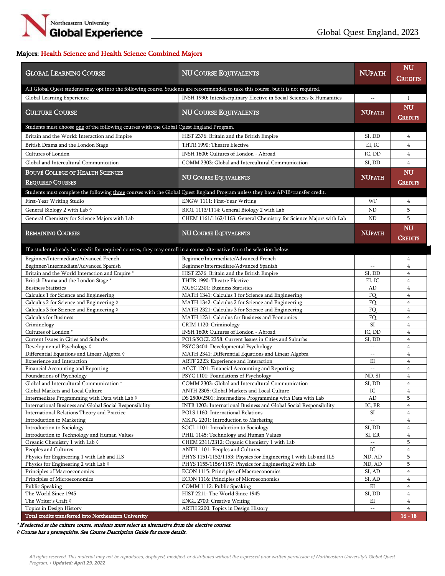

# Majors: Health Science and Health Science Combined Majors

| <b>GLOBAL LEARNING COURSE</b>                                                                                                      | <b>NU COURSE EQUIVALENTS</b>                                                                | <b>NUPATH</b>                     | <b>NU</b>               |
|------------------------------------------------------------------------------------------------------------------------------------|---------------------------------------------------------------------------------------------|-----------------------------------|-------------------------|
|                                                                                                                                    |                                                                                             |                                   | <b>CREDITS</b>          |
| All Global Quest students may opt into the following course. Students are recommended to take this course, but it is not required. |                                                                                             |                                   |                         |
| Global Learning Experience                                                                                                         | INSH 1990: Interdisciplinary Elective in Social Sciences & Humanities                       | $\overline{\phantom{a}}$          | $\mathbf{1}$            |
|                                                                                                                                    |                                                                                             |                                   | <b>NU</b>               |
| <b>CULTURE COURSE</b>                                                                                                              | <b>NU COURSE EQUIVALENTS</b>                                                                | <b>NUPATH</b>                     | <b>CREDITS</b>          |
| Students must choose one of the following courses with the Global Quest England Program.                                           |                                                                                             |                                   |                         |
| Britain and the World: Interaction and Empire                                                                                      | HIST 2376: Britain and the British Empire                                                   | SI, DD                            | $\overline{4}$          |
| British Drama and the London Stage                                                                                                 | THTR 1990: Theatre Elective                                                                 | EI, IC                            | $\overline{4}$          |
| Cultures of London                                                                                                                 | INSH 1600: Cultures of London - Abroad                                                      | IC, DD                            | $\overline{4}$          |
| Global and Intercultural Communication                                                                                             | COMM 2303: Global and Intercultural Communication                                           | SI, DD                            | $\overline{4}$          |
| <b>BOUVÉ COLLEGE OF HEALTH SCIENCES</b>                                                                                            |                                                                                             |                                   | NU                      |
|                                                                                                                                    | <b>NU COURSE EQUIVALENTS</b>                                                                | <b>NUPATH</b>                     |                         |
| <b>REQUIRED COURSES</b>                                                                                                            |                                                                                             |                                   | <b>CREDITS</b>          |
| Students must complete the following three courses with the Global Quest England Program unless they have AP/IB/transfer credit.   |                                                                                             |                                   |                         |
| First-Year Writing Studio                                                                                                          | ENGW 1111: First-Year Writing                                                               | WF                                | 4                       |
| General Biology 2 with Lab 0                                                                                                       | BIOL 1113/1114: General Biology 2 with Lab                                                  | ND                                | 5                       |
| General Chemistry for Science Majors with Lab                                                                                      | CHEM 1161/1162/1163: General Chemistry for Science Majors with Lab                          | ND                                | 5                       |
|                                                                                                                                    |                                                                                             |                                   | NU                      |
| <b>REMAINING COURSES</b>                                                                                                           | <b>NU COURSE EQUIVALENTS</b>                                                                | <b>NUPATH</b>                     | <b>CREDITS</b>          |
|                                                                                                                                    |                                                                                             |                                   |                         |
| If a student already has credit for required courses, they may enroll in a course alternative from the selection below.            |                                                                                             |                                   |                         |
| Beginner/Intermediate/Advanced French<br>Beginner/Intermediate/Advanced Spanish                                                    | Beginner/Intermediate/Advanced French<br>Beginner/Intermediate/Advanced Spanish             | $\mathcal{L} = \mathcal{L}$       | $\overline{4}$          |
| Britain and the World Interaction and Empire *                                                                                     | HIST 2376: Britain and the British Empire                                                   | $\frac{1}{2}$<br>SI, DD           | 4<br>$\overline{4}$     |
| British Drama and the London Stage *                                                                                               | THTR 1990: Theatre Elective                                                                 | EI, IC                            | $\overline{4}$          |
| <b>Business Statistics</b>                                                                                                         | MGSC 2301: Business Statistics                                                              | AD                                | $\overline{4}$          |
| Calculus 1 for Science and Engineering                                                                                             | MATH 1341: Calculus 1 for Science and Engineering                                           | <b>FO</b>                         | 4                       |
| Calculus 2 for Science and Engineering 0                                                                                           | MATH 1342: Calculus 2 for Science and Engineering                                           | FQ                                | $\overline{4}$          |
| Calculus 3 for Science and Engineering 0                                                                                           | MATH 2321: Calculus 3 for Science and Engineering                                           | FQ                                | $\overline{4}$          |
| <b>Calculus for Business</b>                                                                                                       | MATH 1231: Calculus for Business and Economics                                              | <b>FO</b>                         | $\overline{4}$          |
| Criminology                                                                                                                        | CRIM 1120: Criminology                                                                      | SI                                | $\overline{4}$          |
| Cultures of London*                                                                                                                | INSH 1600: Cultures of London - Abroad                                                      | IC, DD                            | $\overline{4}$          |
| Current Issues in Cities and Suburbs                                                                                               | POLS/SOCL 2358: Current Issues in Cities and Suburbs                                        | SI, DD<br>$\overline{a}$          | 4<br>$\overline{4}$     |
| Developmental Psychology 0<br>Differential Equations and Linear Algebra 0                                                          | PSYC 3404: Developmental Psychology<br>MATH 2341: Differential Equations and Linear Algebra | $-\,-$                            | 4                       |
| Experience and Interaction                                                                                                         | ARTF 2223: Experience and Interaction                                                       | EI                                | $\overline{4}$          |
| Financial Accounting and Reporting                                                                                                 | ACCT 1201: Financial Accounting and Reporting                                               | $\overline{\phantom{a}}$          | $\overline{4}$          |
| Foundations of Psychology                                                                                                          | PSYC 1101: Foundations of Psychology                                                        | ND, SI                            | 4                       |
| Global and Intercultural Communication *                                                                                           | COMM 2303: Global and Intercultural Communication                                           | SI, DD                            | 4                       |
| Global Markets and Local Culture                                                                                                   | ANTH 2305: Global Markets and Local Culture                                                 | ${\rm IC}$                        | $\overline{\mathbf{4}}$ |
| Intermediate Programming with Data with Lab $\Diamond$                                                                             | DS 2500/2501: Intermediate Programming with Data with Lab                                   | AD                                | 5                       |
| International Business and Global Social Responsibility                                                                            | INTB 1203: International Business and Global Social Responsibility                          | IC, ER                            | 4                       |
| International Relations Theory and Practice                                                                                        | POLS 1160: International Relations                                                          | SI<br>$\mathcal{L}_{\mathcal{L}}$ | 4                       |
| <b>Introduction to Marketing</b><br>Introduction to Sociology                                                                      | MKTG 2201: Introduction to Marketing<br>SOCL 1101: Introduction to Sociology                | SI, DD                            | $\overline{4}$<br>4     |
| Introduction to Technology and Human Values                                                                                        | PHIL 1145: Technology and Human Values                                                      | SI, ER                            | 4                       |
| Organic Chemistry 1 with Lab $\Diamond$                                                                                            | CHEM 2311/2312: Organic Chemistry 1 with Lab                                                | $\overline{\phantom{a}}$          | 5                       |
| Peoples and Cultures                                                                                                               | ANTH 1101: Peoples and Cultures                                                             | ${\rm IC}$                        | 4                       |
| Physics for Engineering 1 with Lab and ILS                                                                                         | PHYS 1151/1152/1153: Physics for Engineering 1 with Lab and ILS                             | ND, AD                            | 5                       |
| Physics for Engineering 2 with Lab $\Diamond$                                                                                      | PHYS 1155/1156/1157: Physics for Engineering 2 with Lab                                     | ND, AD                            | 5                       |
| Principles of Macroeconomics                                                                                                       | ECON 1115: Principles of Macroeconomics                                                     | SI, AD                            | $\overline{4}$          |
| Principles of Microeconomics                                                                                                       | ECON 1116: Principles of Microeconomics                                                     | SI, AD                            | 4                       |
| Public Speaking                                                                                                                    | COMM 1112: Public Speaking                                                                  | ΕI                                | $\overline{4}$          |
| The World Since 1945                                                                                                               | HIST 2211: The World Since 1945                                                             | SI, DD                            | 4                       |
| The Writer's Craft $\Diamond$<br>Topics in Design History                                                                          | ENGL 2700: Creative Writing<br>ARTH 2200: Topics in Design History                          | EI                                | 4<br>$\overline{4}$     |
| Total credits transferred into Northeastern University                                                                             |                                                                                             |                                   | $16 - 18$               |
|                                                                                                                                    |                                                                                             |                                   |                         |

\* If selected as the culture course, students must select an alternative from the elective courses.

◊ Course has a prerequisite. See Course Description Guide for more details.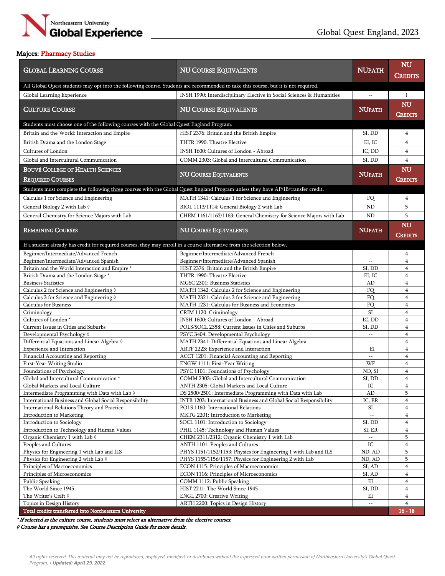

### Majors: Pharmacy Studies

| <b>GLOBAL LEARNING COURSE</b>                                                                                                      | <b>NU COURSE EQUIVALENTS</b>                                                                       | <b>NUPATH</b>               | <b>NU</b>               |
|------------------------------------------------------------------------------------------------------------------------------------|----------------------------------------------------------------------------------------------------|-----------------------------|-------------------------|
|                                                                                                                                    |                                                                                                    |                             | <b>CREDITS</b>          |
| All Global Quest students may opt into the following course. Students are recommended to take this course, but it is not required. |                                                                                                    |                             |                         |
| Global Learning Experience                                                                                                         | INSH 1990: Interdisciplinary Elective in Social Sciences & Humanities                              | $\overline{a}$              | $\mathbf{1}$            |
|                                                                                                                                    |                                                                                                    |                             | <b>NU</b>               |
| <b>CULTURE COURSE</b>                                                                                                              | <b>NU COURSE EQUIVALENTS</b>                                                                       | <b>NUPATH</b>               |                         |
|                                                                                                                                    |                                                                                                    |                             | CREDITS                 |
| Students must choose one of the following courses with the Global Quest England Program.                                           |                                                                                                    |                             |                         |
| Britain and the World: Interaction and Empire                                                                                      | HIST 2376: Britain and the British Empire                                                          | SI, DD                      | 4                       |
| British Drama and the London Stage                                                                                                 | THTR 1990: Theatre Elective                                                                        | EI, IC                      | $\overline{4}$          |
| Cultures of London                                                                                                                 | INSH 1600: Cultures of London - Abroad                                                             | IC, DD                      | $\overline{4}$          |
| Global and Intercultural Communication                                                                                             | COMM 2303: Global and Intercultural Communication                                                  | SI, DD                      | $\overline{4}$          |
| <b>BOUVÉ COLLEGE OF HEALTH SCIENCES</b>                                                                                            |                                                                                                    |                             | NU                      |
|                                                                                                                                    | <b>NU COURSE EQUIVALENTS</b>                                                                       | <b>NUPATH</b>               |                         |
| <b>REQUIRED COURSES</b>                                                                                                            |                                                                                                    |                             | <b>CREDITS</b>          |
| Students must complete the following three courses with the Global Quest England Program unless they have AP/IB/transfer credit.   |                                                                                                    |                             |                         |
| Calculus 1 for Science and Engineering                                                                                             | MATH 1341: Calculus 1 for Science and Engineering                                                  | FQ                          | 4                       |
| General Biology 2 with Lab 0                                                                                                       | BIOL 1113/1114: General Biology 2 with Lab                                                         | <b>ND</b>                   | 5                       |
| General Chemistry for Science Majors with Lab                                                                                      | CHEM 1161/1162/1163: General Chemistry for Science Majors with Lab                                 | <b>ND</b>                   | 5                       |
|                                                                                                                                    |                                                                                                    |                             | <b>NU</b>               |
| <b>REMAINING COURSES</b>                                                                                                           | <b>NU COURSE EQUIVALENTS</b>                                                                       | <b>NUPATH</b>               |                         |
|                                                                                                                                    |                                                                                                    |                             | Credits                 |
| If a student already has credit for required courses, they may enroll in a course alternative from the selection below.            |                                                                                                    |                             |                         |
| Beginner/Intermediate/Advanced French                                                                                              | Beginner/Intermediate/Advanced French                                                              | $\qquad \qquad -$           | 4                       |
| Beginner/Intermediate/Advanced Spanish                                                                                             | Beginner/Intermediate/Advanced Spanish                                                             | $\mathbb{L}^{\mathbb{L}}$   | $\overline{4}$          |
| Britain and the World Interaction and Empire *                                                                                     | HIST 2376: Britain and the British Empire                                                          | SI, DD                      | $\overline{4}$          |
| British Drama and the London Stage *<br><b>Business Statistics</b>                                                                 | THTR 1990: Theatre Elective<br>MGSC 2301: Business Statistics                                      | EI, IC<br>AD                | 4<br>$\overline{4}$     |
| Calculus 2 for Science and Engineering 0                                                                                           | MATH 1342: Calculus 2 for Science and Engineering                                                  | FQ                          | 4                       |
| Calculus 3 for Science and Engineering 0                                                                                           | MATH 2321: Calculus 3 for Science and Engineering                                                  | FQ                          | 4                       |
| <b>Calculus for Business</b>                                                                                                       | MATH 1231: Calculus for Business and Economics                                                     | <b>FO</b>                   | $\overline{4}$          |
| Criminology                                                                                                                        | CRIM 1120: Criminology                                                                             | <b>SI</b>                   | $\overline{4}$          |
| Cultures of London*                                                                                                                | INSH 1600: Cultures of London - Abroad                                                             | IC, DD                      | 4                       |
| Current Issues in Cities and Suburbs                                                                                               | POLS/SOCL 2358: Current Issues in Cities and Suburbs                                               | SI, DD                      | $\overline{\mathbf{4}}$ |
| Developmental Psychology ♦                                                                                                         | PSYC 3404: Developmental Psychology                                                                | $\overline{a}$              | $\overline{4}$          |
| Differential Equations and Linear Algebra 0                                                                                        | MATH 2341: Differential Equations and Linear Algebra                                               | $-\,-$                      | 4                       |
| Experience and Interaction                                                                                                         | ARTF 2223: Experience and Interaction                                                              | ΕI                          | 4                       |
| Financial Accounting and Reporting                                                                                                 | ACCT 1201: Financial Accounting and Reporting                                                      | $\overline{\phantom{a}}$    | $\overline{4}$          |
| First-Year Writing Studio<br>Foundations of Psychology                                                                             | ENGW 1111: First-Year Writing<br>PSYC 1101: Foundations of Psychology                              | WF<br>ND, SI                | 4<br>4                  |
| Global and Intercultural Communication <sup>*</sup>                                                                                | COMM 2303: Global and Intercultural Communication                                                  | SI, DD                      | $\overline{\mathbf{4}}$ |
| Global Markets and Local Culture                                                                                                   | ANTH 2305: Global Markets and Local Culture                                                        | IC                          | $\overline{4}$          |
| Intermediate Programming with Data with Lab 0                                                                                      | DS 2500/2501: Intermediate Programming with Data with Lab                                          | $\mbox{\rm AD}$             | 5                       |
| International Business and Global Social Responsibility                                                                            | INTB 1203: International Business and Global Social Responsibility                                 | IC, ER                      | 4                       |
| International Relations Theory and Practice                                                                                        | POLS 1160: International Relations                                                                 | SI                          | 4                       |
| Introduction to Marketing                                                                                                          | MKTG 2201: Introduction to Marketing                                                               | $\mathcal{L} = \mathcal{L}$ | 4                       |
| Introduction to Sociology                                                                                                          | SOCL 1101: Introduction to Sociology                                                               | SI, DD                      | 4                       |
| Introduction to Technology and Human Values                                                                                        | PHIL 1145: Technology and Human Values                                                             | SI, ER                      | 4                       |
| Organic Chemistry 1 with Lab $\Diamond$                                                                                            | CHEM 2311/2312: Organic Chemistry 1 with Lab                                                       |                             | 5                       |
| Peoples and Cultures                                                                                                               | ANTH 1101: Peoples and Cultures                                                                    | IC                          | 4                       |
| Physics for Engineering 1 with Lab and ILS                                                                                         | PHYS 1151/1152/1153: Physics for Engineering 1 with Lab and ILS                                    | ND, AD                      | 5                       |
| Physics for Engineering 2 with Lab $\Diamond$<br>Principles of Macroeconomics                                                      | PHYS 1155/1156/1157: Physics for Engineering 2 with Lab<br>ECON 1115: Principles of Macroeconomics | ND, AD<br>SI, AD            | 5<br>4                  |
| Principles of Microeconomics                                                                                                       | ECON 1116: Principles of Microeconomics                                                            | SI, AD                      | 4                       |
| Public Speaking                                                                                                                    | COMM 1112: Public Speaking                                                                         | ΕI                          | 4                       |
| The World Since 1945                                                                                                               | HIST 2211: The World Since 1945                                                                    | SI, DD                      | 4                       |
| The Writer's Craft $\Diamond$                                                                                                      | ENGL 2700: Creative Writing                                                                        | ΕI                          | $\overline{4}$          |
| Topics in Design History                                                                                                           | ARTH 2200: Topics in Design History                                                                | $- \, -$                    | 4                       |
| Total credits transferred into Northeastern University                                                                             |                                                                                                    |                             | $16 - 18$               |

\* If selected as the culture course, students must select an alternative from the elective courses.

◊ Course has a prerequisite. See Course Description Guide for more details.